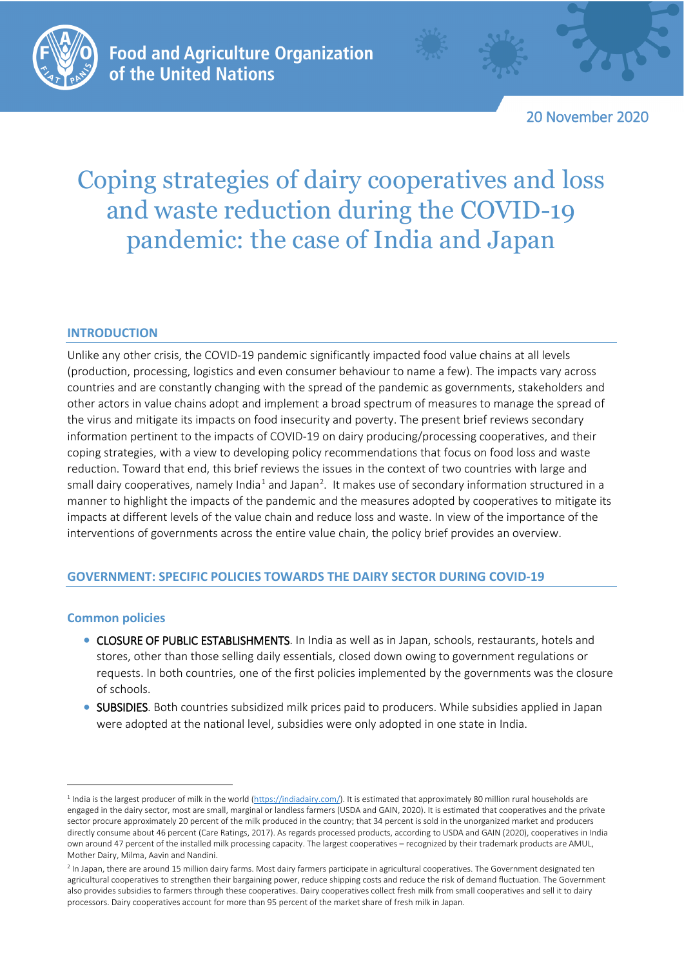

20 November 2020

# Coping strategies of dairy cooperatives and loss and waste reduction during the COVID-19 pandemic: the case of India and Japan

# **INTRODUCTION**

Unlike any other crisis, the COVID-19 pandemic significantly impacted food value chains at all levels (production, processing, logistics and even consumer behaviour to name a few). The impacts vary across countries and are constantly changing with the spread of the pandemic as governments, stakeholders and other actors in value chains adopt and implement a broad spectrum of measures to manage the spread of the virus and mitigate its impacts on food insecurity and poverty. The present brief reviews secondary information pertinent to the impacts of COVID-19 on dairy producing/processing cooperatives, and their coping strategies, with a view to developing policy recommendations that focus on food loss and waste reduction. Toward that end, this brief reviews the issues in the context of two countries with large and small dairy cooperatives, namely India<sup>[1](#page-0-0)</sup> and Japan<sup>2</sup>. It makes use of secondary information structured in a manner to highlight the impacts of the pandemic and the measures adopted by cooperatives to mitigate its impacts at different levels of the value chain and reduce loss and waste. In view of the importance of the interventions of governments across the entire value chain, the policy brief provides an overview.

# **GOVERNMENT: SPECIFIC POLICIES TOWARDS THE DAIRY SECTOR DURING COVID-19**

# **Common policies**

- CLOSURE OF PUBLIC ESTABLISHMENTS. In India as well as in Japan, schools, restaurants, hotels and stores, other than those selling daily essentials, closed down owing to government regulations or requests. In both countries, one of the first policies implemented by the governments was the closure of schools.
- SUBSIDIES. Both countries subsidized milk prices paid to producers. While subsidies applied in Japan were adopted at the national level, subsidies were only adopted in one state in India.

<span id="page-0-0"></span><sup>&</sup>lt;sup>1</sup> India is the largest producer of milk in the world [\(https://indiadairy.com/\)](https://indiadairy.com/). It is estimated that approximately 80 million rural households are engaged in the dairy sector, most are small, marginal or landless farmers (USDA and GAIN, 2020). It is estimated that cooperatives and the private sector procure approximately 20 percent of the milk produced in the country; that 34 percent is sold in the unorganized market and producers directly consume about 46 percent (Care Ratings, 2017). As regards processed products, according to USDA and GAIN (2020), cooperatives in India own around 47 percent of the installed milk processing capacity. The largest cooperatives – recognized by their trademark products are AMUL, Mother Dairy, Milma, Aavin and Nandini.

<span id="page-0-1"></span><sup>&</sup>lt;sup>2</sup> In Japan, there are around 15 million dairy farms. Most dairy farmers participate in agricultural cooperatives. The Government designated ten agricultural cooperatives to strengthen their bargaining power, reduce shipping costs and reduce the risk of demand fluctuation. The Government also provides subsidies to farmers through these cooperatives. Dairy cooperatives collect fresh milk from small cooperatives and sell it to dairy processors. Dairy cooperatives account for more than 95 percent of the market share of fresh milk in Japan.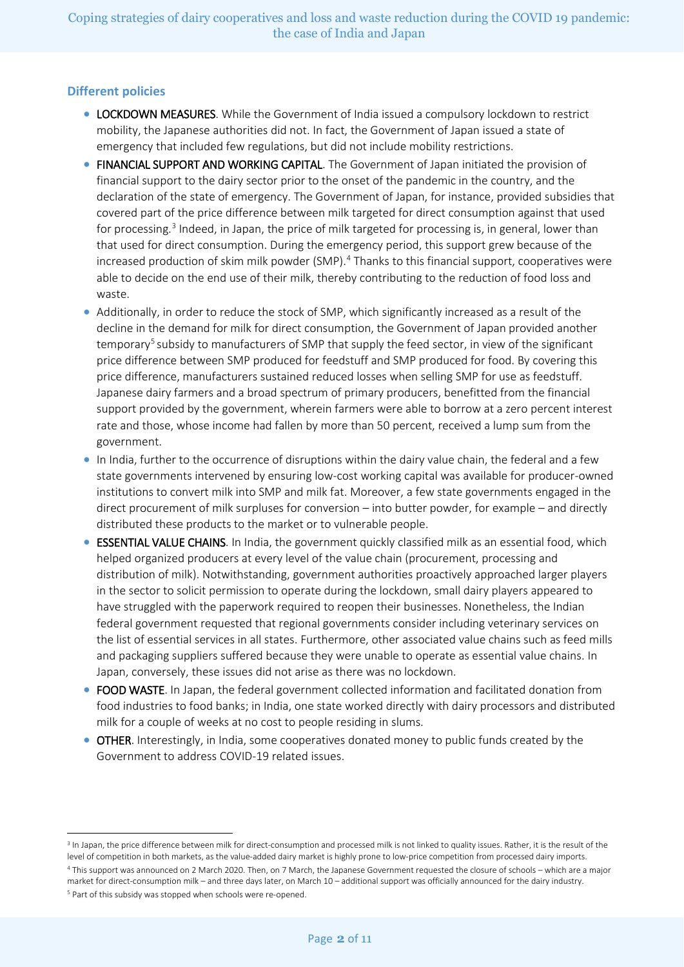# **Different policies**

- LOCKDOWN MEASURES. While the Government of India issued a compulsory lockdown to restrict mobility, the Japanese authorities did not. In fact, the Government of Japan issued a state of emergency that included few regulations, but did not include mobility restrictions.
- FINANCIAL SUPPORT AND WORKING CAPITAL. The Government of Japan initiated the provision of financial support to the dairy sector prior to the onset of the pandemic in the country, and the declaration of the state of emergency. The Government of Japan, for instance, provided subsidies that covered part of the price difference between milk targeted for direct consumption against that used for processing.<sup>[3](#page-1-0)</sup> Indeed, in Japan, the price of milk targeted for processing is, in general, lower than that used for direct consumption. During the emergency period, this support grew because of the increased production of skim milk powder (SMP).<sup>[4](#page-1-1)</sup> Thanks to this financial support, cooperatives were able to decide on the end use of their milk, thereby contributing to the reduction of food loss and waste.
- Additionally, in order to reduce the stock of SMP, which significantly increased as a result of the decline in the demand for milk for direct consumption, the Government of Japan provided another temporary<sup>[5](#page-1-2)</sup> subsidy to manufacturers of SMP that supply the feed sector, in view of the significant price difference between SMP produced for feedstuff and SMP produced for food. By covering this price difference, manufacturers sustained reduced losses when selling SMP for use as feedstuff. Japanese dairy farmers and a broad spectrum of primary producers, benefitted from the financial support provided by the government, wherein farmers were able to borrow at a zero percent interest rate and those, whose income had fallen by more than 50 percent, received a lump sum from the government.
- In India, further to the occurrence of disruptions within the dairy value chain, the federal and a few state governments intervened by ensuring low-cost working capital was available for producer-owned institutions to convert milk into SMP and milk fat. Moreover, a few state governments engaged in the direct procurement of milk surpluses for conversion – into butter powder, for example – and directly distributed these products to the market or to vulnerable people.
- ESSENTIAL VALUE CHAINS. In India, the government quickly classified milk as an essential food, which helped organized producers at every level of the value chain (procurement, processing and distribution of milk). Notwithstanding, government authorities proactively approached larger players in the sector to solicit permission to operate during the lockdown, small dairy players appeared to have struggled with the paperwork required to reopen their businesses. Nonetheless, the Indian federal government requested that regional governments consider including veterinary services on the list of essential services in all states. Furthermore, other associated value chains such as feed mills and packaging suppliers suffered because they were unable to operate as essential value chains. In Japan, conversely, these issues did not arise as there was no lockdown.
- FOOD WASTE. In Japan, the federal government collected information and facilitated donation from food industries to food banks; in India, one state worked directly with dairy processors and distributed milk for a couple of weeks at no cost to people residing in slums.
- OTHER. Interestingly, in India, some cooperatives donated money to public funds created by the Government to address COVID-19 related issues.

<span id="page-1-0"></span><sup>&</sup>lt;sup>3</sup> In Japan, the price difference between milk for direct-consumption and processed milk is not linked to quality issues. Rather, it is the result of the level of competition in both markets, as the value-added dairy market is highly prone to low-price competition from processed dairy imports.

<span id="page-1-2"></span><span id="page-1-1"></span><sup>4</sup> This support was announced on 2 March 2020. Then, on 7 March, the Japanese Government requested the closure of schools – which are a major market for direct-consumption milk – and three days later, on March 10 – additional support was officially announced for the dairy industry. <sup>5</sup> Part of this subsidy was stopped when schools were re-opened.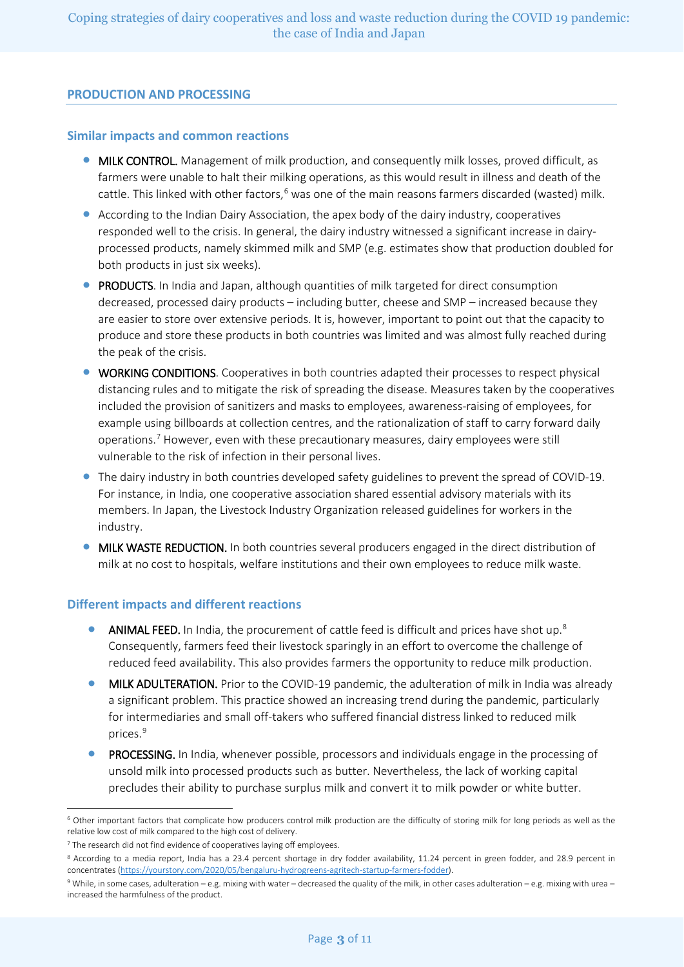## **PRODUCTION AND PROCESSING**

#### **Similar impacts and common reactions**

- MILK CONTROL. Management of milk production, and consequently milk losses, proved difficult, as farmers were unable to halt their milking operations, as this would result in illness and death of the cattle. This linked with other factors,<sup>[6](#page-2-0)</sup> was one of the main reasons farmers discarded (wasted) milk.
- According to the Indian Dairy Association, the apex body of the dairy industry, cooperatives responded well to the crisis. In general, the dairy industry witnessed a significant increase in dairyprocessed products, namely skimmed milk and SMP (e.g. estimates show that production doubled for both products in just six weeks).
- PRODUCTS. In India and Japan, although quantities of milk targeted for direct consumption decreased, processed dairy products – including butter, cheese and SMP – increased because they are easier to store over extensive periods. It is, however, important to point out that the capacity to produce and store these products in both countries was limited and was almost fully reached during the peak of the crisis.
- WORKING CONDITIONS. Cooperatives in both countries adapted their processes to respect physical distancing rules and to mitigate the risk of spreading the disease. Measures taken by the cooperatives included the provision of sanitizers and masks to employees, awareness-raising of employees, for example using billboards at collection centres, and the rationalization of staff to carry forward daily operations.[7](#page-2-1) However, even with these precautionary measures, dairy employees were still vulnerable to the risk of infection in their personal lives.
- The dairy industry in both countries developed safety guidelines to prevent the spread of COVID-19. For instance, in India, one cooperative association shared essential advisory materials with its members. In Japan, the Livestock Industry Organization released guidelines for workers in the industry.
- MILK WASTE REDUCTION. In both countries several producers engaged in the direct distribution of milk at no cost to hospitals, welfare institutions and their own employees to reduce milk waste.

#### **Different impacts and different reactions**

- ANIMAL FEED. In India, the procurement of cattle feed is difficult and prices have shot up.<sup>[8](#page-2-2)</sup> Consequently, farmers feed their livestock sparingly in an effort to overcome the challenge of reduced feed availability. This also provides farmers the opportunity to reduce milk production.
- MILK ADULTERATION. Prior to the COVID-19 pandemic, the adulteration of milk in India was already a significant problem. This practice showed an increasing trend during the pandemic, particularly for intermediaries and small off-takers who suffered financial distress linked to reduced milk prices.<sup>[9](#page-2-3)</sup>
- PROCESSING. In India, whenever possible, processors and individuals engage in the processing of unsold milk into processed products such as butter. Nevertheless, the lack of working capital precludes their ability to purchase surplus milk and convert it to milk powder or white butter.

<span id="page-2-0"></span> <sup>6</sup> Other important factors that complicate how producers control milk production are the difficulty of storing milk for long periods as well as the relative low cost of milk compared to the high cost of delivery.

<span id="page-2-1"></span> $7$  The research did not find evidence of cooperatives laying off employees.

<span id="page-2-2"></span><sup>&</sup>lt;sup>8</sup> According to a media report, India has a 23.4 percent shortage in dry fodder availability, 11.24 percent in green fodder, and 28.9 percent in concentrates [\(https://yourstory.com/2020/05/bengaluru-hydrogreens-agritech-startup-farmers-fodder\).](https://yourstory.com/2020/05/bengaluru-hydrogreens-agritech-startup-farmers-fodder)

<span id="page-2-3"></span><sup>9</sup> While, in some cases, adulteration – e.g. mixing with water – decreased the quality of the milk, in other cases adulteration – e.g. mixing with urea – increased the harmfulness of the product.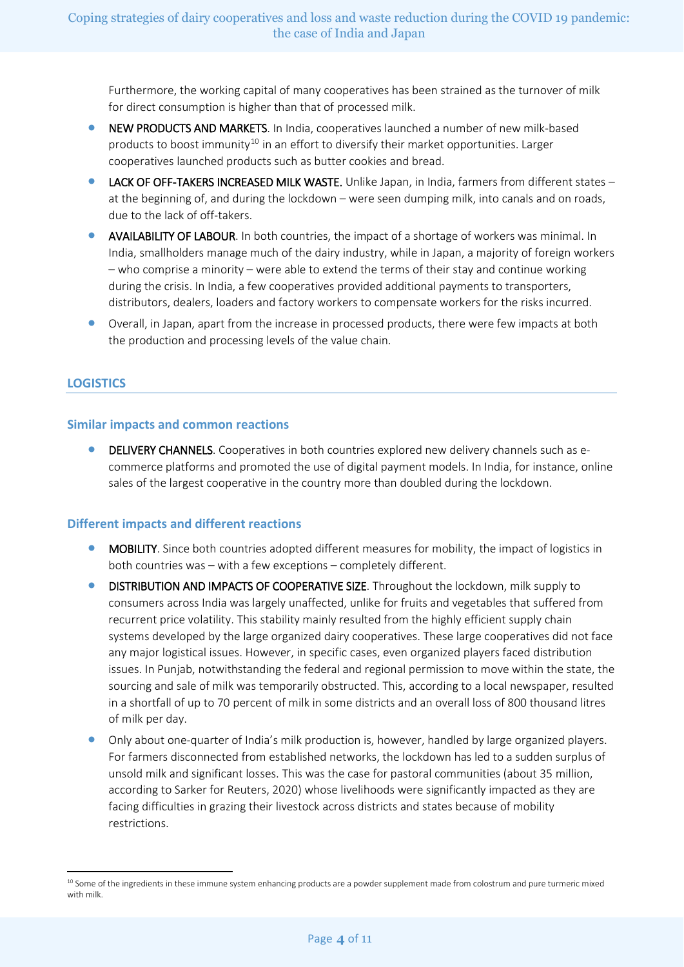Furthermore, the working capital of many cooperatives has been strained as the turnover of milk for direct consumption is higher than that of processed milk.

- NEW PRODUCTS AND MARKETS. In India, cooperatives launched a number of new milk-based products to boost immunity<sup>[10](#page-3-0)</sup> in an effort to diversify their market opportunities. Larger cooperatives launched products such as butter cookies and bread.
- LACK OF OFF-TAKERS INCREASED MILK WASTE. Unlike Japan, in India, farmers from different states at the beginning of, and during the lockdown – were seen dumping milk, into canals and on roads, due to the lack of off-takers.
- AVAILABILITY OF LABOUR. In both countries, the impact of a shortage of workers was minimal. In India, smallholders manage much of the dairy industry, while in Japan, a majority of foreign workers – who comprise a minority – were able to extend the terms of their stay and continue working during the crisis. In India, a few cooperatives provided additional payments to transporters, distributors, dealers, loaders and factory workers to compensate workers for the risks incurred.
- Overall, in Japan, apart from the increase in processed products, there were few impacts at both the production and processing levels of the value chain.

# **LOGISTICS**

### **Similar impacts and common reactions**

• DELIVERY CHANNELS. Cooperatives in both countries explored new delivery channels such as ecommerce platforms and promoted the use of digital payment models. In India, for instance, online sales of the largest cooperative in the country more than doubled during the lockdown.

# **Different impacts and different reactions**

- MOBILITY. Since both countries adopted different measures for mobility, the impact of logistics in both countries was – with a few exceptions – completely different.
- DISTRIBUTION AND IMPACTS OF COOPERATIVE SIZE. Throughout the lockdown, milk supply to consumers across India was largely unaffected, unlike for fruits and vegetables that suffered from recurrent price volatility. This stability mainly resulted from the highly efficient supply chain systems developed by the large organized dairy cooperatives. These large cooperatives did not face any major logistical issues. However, in specific cases, even organized players faced distribution issues. In Punjab, notwithstanding the federal and regional permission to move within the state, the sourcing and sale of milk was temporarily obstructed. This, according to a local newspaper, resulted in a shortfall of up to 70 percent of milk in some districts and an overall loss of 800 thousand litres of milk per day.
- Only about one-quarter of India's milk production is, however, handled by large organized players. For farmers disconnected from established networks, the lockdown has led to a sudden surplus of unsold milk and significant losses. This was the case for pastoral communities (about 35 million, according to Sarker for Reuters, 2020) whose livelihoods were significantly impacted as they are facing difficulties in grazing their livestock across districts and states because of mobility restrictions.

<span id="page-3-0"></span><sup>&</sup>lt;sup>10</sup> Some of the ingredients in these immune system enhancing products are a powder supplement made from colostrum and pure turmeric mixed with milk.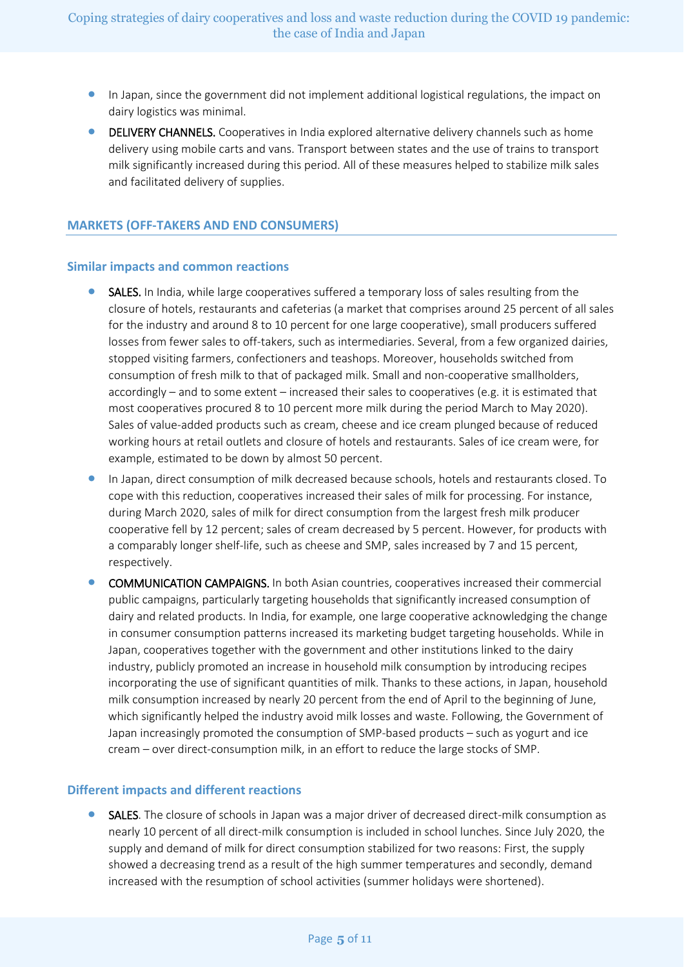- In Japan, since the government did not implement additional logistical regulations, the impact on dairy logistics was minimal.
- DELIVERY CHANNELS. Cooperatives in India explored alternative delivery channels such as home delivery using mobile carts and vans. Transport between states and the use of trains to transport milk significantly increased during this period. All of these measures helped to stabilize milk sales and facilitated delivery of supplies.

## **MARKETS (OFF-TAKERS AND END CONSUMERS)**

#### **Similar impacts and common reactions**

- SALES. In India, while large cooperatives suffered a temporary loss of sales resulting from the closure of hotels, restaurants and cafeterias (a market that comprises around 25 percent of all sales for the industry and around 8 to 10 percent for one large cooperative), small producers suffered losses from fewer sales to off-takers, such as intermediaries. Several, from a few organized dairies, stopped visiting farmers, confectioners and teashops. Moreover, households switched from consumption of fresh milk to that of packaged milk. Small and non-cooperative smallholders, accordingly – and to some extent – increased their sales to cooperatives (e.g. it is estimated that most cooperatives procured 8 to 10 percent more milk during the period March to May 2020). Sales of value-added products such as cream, cheese and ice cream plunged because of reduced working hours at retail outlets and closure of hotels and restaurants. Sales of ice cream were, for example, estimated to be down by almost 50 percent.
- In Japan, direct consumption of milk decreased because schools, hotels and restaurants closed. To cope with this reduction, cooperatives increased their sales of milk for processing. For instance, during March 2020, sales of milk for direct consumption from the largest fresh milk producer cooperative fell by 12 percent; sales of cream decreased by 5 percent. However, for products with a comparably longer shelf-life, such as cheese and SMP, sales increased by 7 and 15 percent, respectively.
- COMMUNICATION CAMPAIGNS. In both Asian countries, cooperatives increased their commercial public campaigns, particularly targeting households that significantly increased consumption of dairy and related products. In India, for example, one large cooperative acknowledging the change in consumer consumption patterns increased its marketing budget targeting households. While in Japan, cooperatives together with the government and other institutions linked to the dairy industry, publicly promoted an increase in household milk consumption by introducing recipes incorporating the use of significant quantities of milk. Thanks to these actions, in Japan, household milk consumption increased by nearly 20 percent from the end of April to the beginning of June, which significantly helped the industry avoid milk losses and waste. Following, the Government of Japan increasingly promoted the consumption of SMP-based products – such as yogurt and ice cream – over direct-consumption milk, in an effort to reduce the large stocks of SMP.

#### **Different impacts and different reactions**

SALES. The closure of schools in Japan was a major driver of decreased direct-milk consumption as nearly 10 percent of all direct-milk consumption is included in school lunches. Since July 2020, the supply and demand of milk for direct consumption stabilized for two reasons: First, the supply showed a decreasing trend as a result of the high summer temperatures and secondly, demand increased with the resumption of school activities (summer holidays were shortened).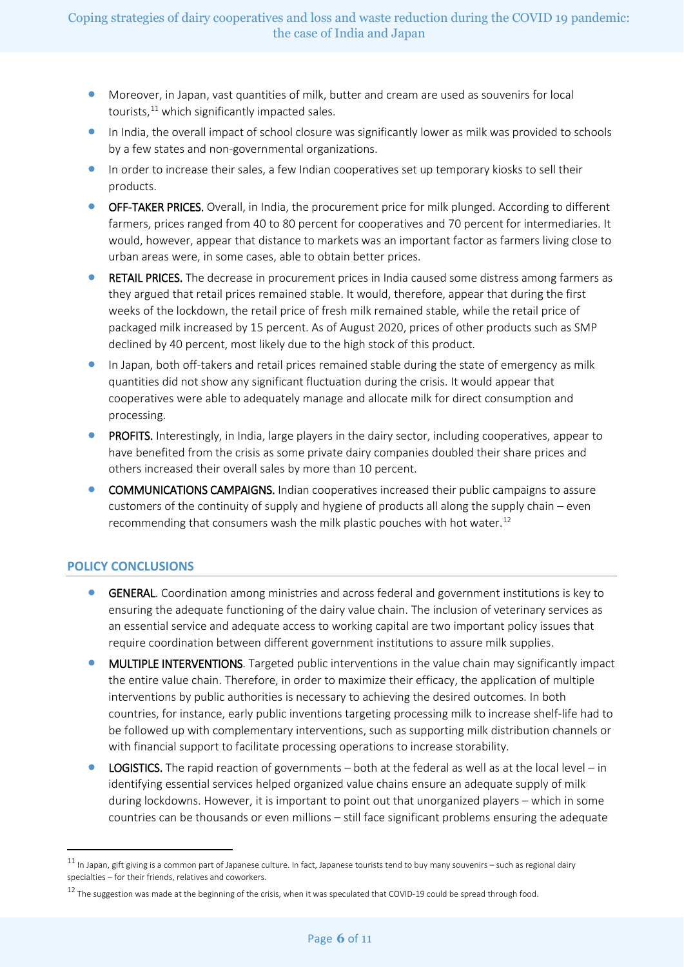- Moreover, in Japan, vast quantities of milk, butter and cream are used as souvenirs for local tourists, $11$  which significantly impacted sales.
- In India, the overall impact of school closure was significantly lower as milk was provided to schools by a few states and non-governmental organizations.
- In order to increase their sales, a few Indian cooperatives set up temporary kiosks to sell their products.
- OFF-TAKER PRICES. Overall, in India, the procurement price for milk plunged. According to different farmers, prices ranged from 40 to 80 percent for cooperatives and 70 percent for intermediaries. It would, however, appear that distance to markets was an important factor as farmers living close to urban areas were, in some cases, able to obtain better prices.
- RETAIL PRICES. The decrease in procurement prices in India caused some distress among farmers as they argued that retail prices remained stable. It would, therefore, appear that during the first weeks of the lockdown, the retail price of fresh milk remained stable, while the retail price of packaged milk increased by 15 percent. As of August 2020, prices of other products such as SMP declined by 40 percent, most likely due to the high stock of this product.
- In Japan, both off-takers and retail prices remained stable during the state of emergency as milk quantities did not show any significant fluctuation during the crisis. It would appear that cooperatives were able to adequately manage and allocate milk for direct consumption and processing.
- PROFITS. Interestingly, in India, large players in the dairy sector, including cooperatives, appear to have benefited from the crisis as some private dairy companies doubled their share prices and others increased their overall sales by more than 10 percent.
- COMMUNICATIONS CAMPAIGNS. Indian cooperatives increased their public campaigns to assure customers of the continuity of supply and hygiene of products all along the supply chain – even recommending that consumers wash the milk plastic pouches with hot water.<sup>[12](#page-5-1)</sup>

# **POLICY CONCLUSIONS**

- GENERAL. Coordination among ministries and across federal and government institutions is key to ensuring the adequate functioning of the dairy value chain. The inclusion of veterinary services as an essential service and adequate access to working capital are two important policy issues that require coordination between different government institutions to assure milk supplies.
- MULTIPLE INTERVENTIONS. Targeted public interventions in the value chain may significantly impact the entire value chain. Therefore, in order to maximize their efficacy, the application of multiple interventions by public authorities is necessary to achieving the desired outcomes. In both countries, for instance, early public inventions targeting processing milk to increase shelf-life had to be followed up with complementary interventions, such as supporting milk distribution channels or with financial support to facilitate processing operations to increase storability.
- **LOGISTICS.** The rapid reaction of governments  $-$  both at the federal as well as at the local level  $-$  in identifying essential services helped organized value chains ensure an adequate supply of milk during lockdowns. However, it is important to point out that unorganized players – which in some countries can be thousands or even millions – still face significant problems ensuring the adequate

<span id="page-5-0"></span> $11$  In Japan, gift giving is a common part of Japanese culture. In fact, Japanese tourists tend to buy many souvenirs – such as regional dairy specialties – for their friends, relatives and coworkers.

<span id="page-5-1"></span> $12$  The suggestion was made at the beginning of the crisis, when it was speculated that COVID-19 could be spread through food.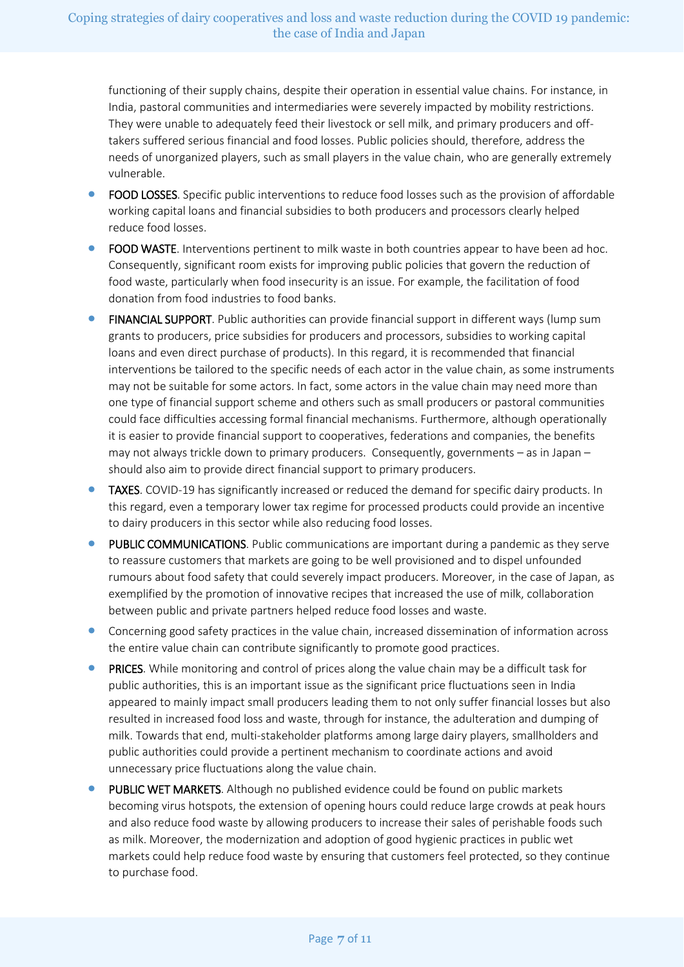functioning of their supply chains, despite their operation in essential value chains. For instance, in India, pastoral communities and intermediaries were severely impacted by mobility restrictions. They were unable to adequately feed their livestock or sell milk, and primary producers and offtakers suffered serious financial and food losses. Public policies should, therefore, address the needs of unorganized players, such as small players in the value chain, who are generally extremely vulnerable.

- FOOD LOSSES. Specific public interventions to reduce food losses such as the provision of affordable working capital loans and financial subsidies to both producers and processors clearly helped reduce food losses.
- FOOD WASTE. Interventions pertinent to milk waste in both countries appear to have been ad hoc. Consequently, significant room exists for improving public policies that govern the reduction of food waste, particularly when food insecurity is an issue. For example, the facilitation of food donation from food industries to food banks.
- FINANCIAL SUPPORT. Public authorities can provide financial support in different ways (lump sum grants to producers, price subsidies for producers and processors, subsidies to working capital loans and even direct purchase of products). In this regard, it is recommended that financial interventions be tailored to the specific needs of each actor in the value chain, as some instruments may not be suitable for some actors. In fact, some actors in the value chain may need more than one type of financial support scheme and others such as small producers or pastoral communities could face difficulties accessing formal financial mechanisms. Furthermore, although operationally it is easier to provide financial support to cooperatives, federations and companies, the benefits may not always trickle down to primary producers. Consequently, governments – as in Japan – should also aim to provide direct financial support to primary producers.
- TAXES. COVID-19 has significantly increased or reduced the demand for specific dairy products. In this regard, even a temporary lower tax regime for processed products could provide an incentive to dairy producers in this sector while also reducing food losses.
- PUBLIC COMMUNICATIONS. Public communications are important during a pandemic as they serve to reassure customers that markets are going to be well provisioned and to dispel unfounded rumours about food safety that could severely impact producers. Moreover, in the case of Japan, as exemplified by the promotion of innovative recipes that increased the use of milk, collaboration between public and private partners helped reduce food losses and waste.
- Concerning good safety practices in the value chain, increased dissemination of information across the entire value chain can contribute significantly to promote good practices.
- PRICES. While monitoring and control of prices along the value chain may be a difficult task for public authorities, this is an important issue as the significant price fluctuations seen in India appeared to mainly impact small producers leading them to not only suffer financial losses but also resulted in increased food loss and waste, through for instance, the adulteration and dumping of milk. Towards that end, multi-stakeholder platforms among large dairy players, smallholders and public authorities could provide a pertinent mechanism to coordinate actions and avoid unnecessary price fluctuations along the value chain.
- PUBLIC WET MARKETS. Although no published evidence could be found on public markets becoming virus hotspots, the extension of opening hours could reduce large crowds at peak hours and also reduce food waste by allowing producers to increase their sales of perishable foods such as milk. Moreover, the modernization and adoption of good hygienic practices in public wet markets could help reduce food waste by ensuring that customers feel protected, so they continue to purchase food.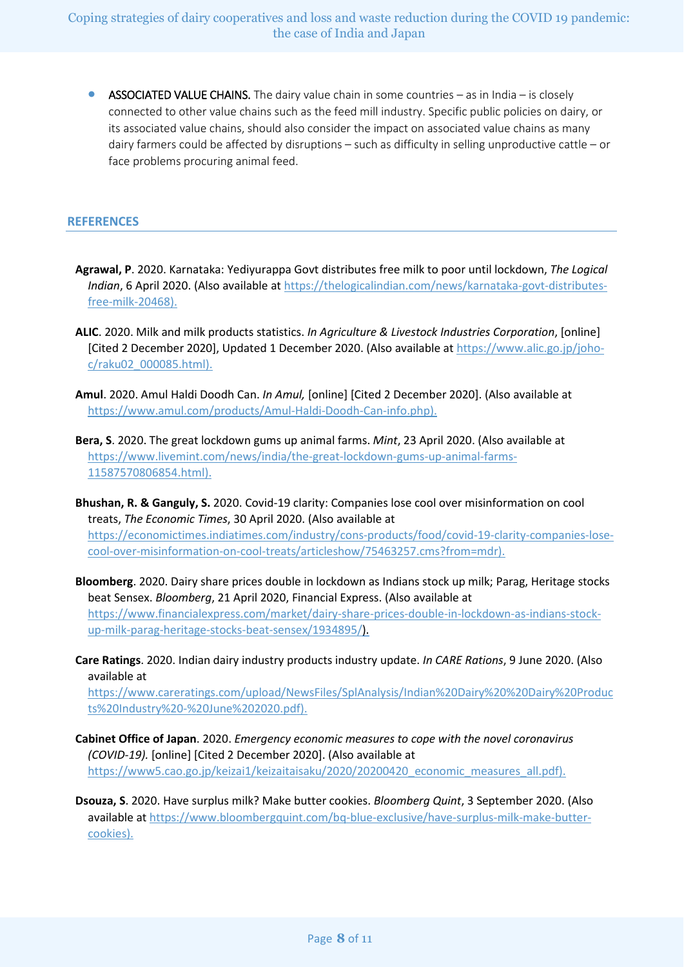**• ASSOCIATED VALUE CHAINS.** The dairy value chain in some countries  $-$  as in India  $-$  is closely connected to other value chains such as the feed mill industry. Specific public policies on dairy, or its associated value chains, should also consider the impact on associated value chains as many dairy farmers could be affected by disruptions – such as difficulty in selling unproductive cattle – or face problems procuring animal feed.

#### **REFERENCES**

- **Agrawal, P**. 2020. Karnataka: Yediyurappa Govt distributes free milk to poor until lockdown, *The Logical Indian*, 6 April 2020. (Also available at [https://thelogicalindian.com/news/karnataka-govt-distributes](https://thelogicalindian.com/news/karnataka-govt-distributes-free-milk-20468)[free-milk-20468\)](https://thelogicalindian.com/news/karnataka-govt-distributes-free-milk-20468).
- **ALIC**. 2020. Milk and milk products statistics. *In Agriculture & Livestock Industries Corporation*, [online] [Cited 2 December 2020], Updated 1 December 2020. (Also available at [https://www.alic.go.jp/joho](https://www.alic.go.jp/joho-c/raku02_000085.html)[c/raku02\\_000085.html\)](https://www.alic.go.jp/joho-c/raku02_000085.html).
- **Amul**. 2020. Amul Haldi Doodh Can. *In Amul,* [online] [Cited 2 December 2020]. (Also available at [https://www.amul.com/products/Amul-Haldi-Doodh-Can-info.php\)](https://www.amul.com/products/Amul-Haldi-Doodh-Can-info.php).
- **Bera, S**. 2020. The great lockdown gums up animal farms. *Mint*, 23 April 2020. (Also available at [https://www.livemint.com/news/india/the-great-lockdown-gums-up-animal-farms-](https://www.livemint.com/news/india/the-great-lockdown-gums-up-animal-farms-11587570806854.html)[11587570806854.html\)](https://www.livemint.com/news/india/the-great-lockdown-gums-up-animal-farms-11587570806854.html).
- **Bhushan, R. & Ganguly, S.** 2020. Covid-19 clarity: Companies lose cool over misinformation on cool treats, *The Economic Times*, 30 April 2020. (Also available at [https://economictimes.indiatimes.com/industry/cons-products/food/covid-19-clarity-companies-lose](https://economictimes.indiatimes.com/industry/cons-products/food/covid-19-clarity-companies-lose-cool-over-misinformation-on-cool-treats/articleshow/75463257.cms?from=mdr)[cool-over-misinformation-on-cool-treats/articleshow/75463257.cms?from=mdr\)](https://economictimes.indiatimes.com/industry/cons-products/food/covid-19-clarity-companies-lose-cool-over-misinformation-on-cool-treats/articleshow/75463257.cms?from=mdr).
- **Bloomberg**. 2020. Dairy share prices double in lockdown as Indians stock up milk; Parag, Heritage stocks beat Sensex. *Bloomberg*, 21 April 2020, Financial Express. (Also available at [https://www.financialexpress.com/market/dairy-share-prices-double-in-lockdown-as-indians-stock](https://www.financialexpress.com/market/dairy-share-prices-double-in-lockdown-as-indians-stock-up-milk-parag-heritage-stocks-beat-sensex/1934895/)[up-milk-parag-heritage-stocks-beat-sensex/1934895/\)](https://www.financialexpress.com/market/dairy-share-prices-double-in-lockdown-as-indians-stock-up-milk-parag-heritage-stocks-beat-sensex/1934895/).
- **Care Ratings**. 2020. Indian dairy industry products industry update. *In CARE Rations*, 9 June 2020. (Also available at

[https://www.careratings.com/upload/NewsFiles/SplAnalysis/Indian%20Dairy%20%20Dairy%20Produc](https://www.careratings.com/upload/NewsFiles/SplAnalysis/Indian%20Dairy%20%20Dairy%20Products%20Industry%20-%20June%202020.pdf) [ts%20Industry%20-%20June%202020.pdf\)](https://www.careratings.com/upload/NewsFiles/SplAnalysis/Indian%20Dairy%20%20Dairy%20Products%20Industry%20-%20June%202020.pdf).

**Cabinet Office of Japan**. 2020. *Emergency economic measures to cope with the novel coronavirus (COVID-19).* [online] [Cited 2 December 2020]. (Also available at [https://www5.cao.go.jp/keizai1/keizaitaisaku/2020/20200420\\_economic\\_measures\\_all.pdf\)](https://www5.cao.go.jp/keizai1/keizaitaisaku/2020/20200420_economic_measures_all.pdf).

**Dsouza, S**. 2020. Have surplus milk? Make butter cookies. *Bloomberg Quint*, 3 September 2020. (Also available at [https://www.bloombergquint.com/bq-blue-exclusive/have-surplus-milk-make-butter](https://www.bloombergquint.com/bq-blue-exclusive/have-surplus-milk-make-butter-cookies)[cookies\)](https://www.bloombergquint.com/bq-blue-exclusive/have-surplus-milk-make-butter-cookies).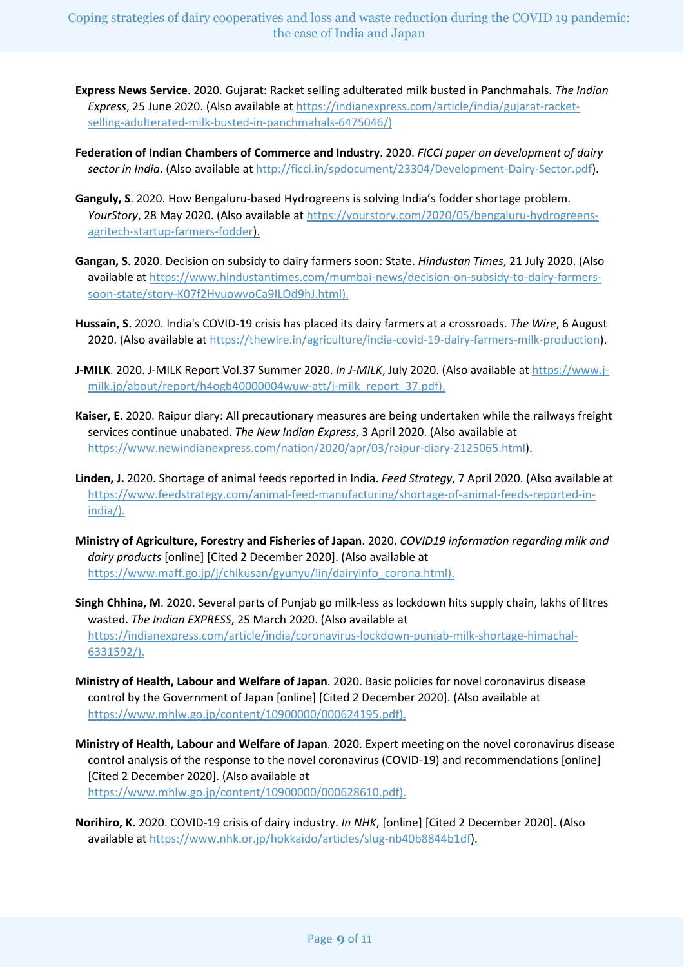Coping strategies of dairy cooperatives and loss and waste reduction during the COVID 19 pandemic: the case of India and Japan

- **Express News Service**. 2020. Gujarat: Racket selling adulterated milk busted in Panchmahals. *The Indian Express*, 25 June 2020. (Also available a[t https://indianexpress.com/article/india/gujarat-racket](https://indianexpress.com/article/india/gujarat-racket-selling-adulterated-milk-busted-in-panchmahals-6475046/)[selling-adulterated-milk-busted-in-panchmahals-6475046/\)](https://indianexpress.com/article/india/gujarat-racket-selling-adulterated-milk-busted-in-panchmahals-6475046/)
- **Federation of Indian Chambers of Commerce and Industry**. 2020. *FICCI paper on development of dairy sector in India*. (Also available a[t http://ficci.in/spdocument/23304/Development-Dairy-Sector.pdf\)](http://ficci.in/spdocument/23304/Development-Dairy-Sector.pdf).
- **Ganguly, S**. 2020. How Bengaluru-based Hydrogreens is solving India's fodder shortage problem. *YourStory*, 28 May 2020. (Also available at [https://yourstory.com/2020/05/bengaluru-hydrogreens](https://yourstory.com/2020/05/bengaluru-hydrogreens-agritech-startup-farmers-fodder)[agritech-startup-farmers-fodder\)](https://yourstory.com/2020/05/bengaluru-hydrogreens-agritech-startup-farmers-fodder).
- **Gangan, S**. 2020. Decision on subsidy to dairy farmers soon: State. *Hindustan Times*, 21 July 2020. (Also available at [https://www.hindustantimes.com/mumbai-news/decision-on-subsidy-to-dairy-farmers](https://www.hindustantimes.com/mumbai-news/decision-on-subsidy-to-dairy-farmers-soon-state/story-K07f2HvuowvoCa9ILOd9hJ.html)[soon-state/story-K07f2HvuowvoCa9ILOd9hJ.html\)](https://www.hindustantimes.com/mumbai-news/decision-on-subsidy-to-dairy-farmers-soon-state/story-K07f2HvuowvoCa9ILOd9hJ.html).
- **Hussain, S.** 2020. India's COVID-19 crisis has placed its dairy farmers at a crossroads. *The Wire*, 6 August 2020. (Also available at https://thewire.in/agriculture/india-covid-19-dairy-farmers-milk-production).
- **J-MILK**. 2020. J-MILK Report Vol.37 Summer 2020. *In J-MILK*, July 2020. (Also available at [https://www.j](https://www.j-milk.jp/about/report/h4ogb40000004wuw-att/j-milk_report_37.pdf)[milk.jp/about/report/h4ogb40000004wuw-att/j-milk\\_report\\_37.pdf\)](https://www.j-milk.jp/about/report/h4ogb40000004wuw-att/j-milk_report_37.pdf).
- **Kaiser, E**. 2020. Raipur diary: All precautionary measures are being undertaken while the railways freight services continue unabated. *The New Indian Express*, 3 April 2020. (Also available at [https://www.newindianexpress.com/nation/2020/apr/03/raipur-diary-2125065.html\)](https://www.newindianexpress.com/nation/2020/apr/03/raipur-diary-2125065.html).
- **Linden, J.** 2020. Shortage of animal feeds reported in India. *Feed Strategy*, 7 April 2020. (Also available at [https://www.feedstrategy.com/animal-feed-manufacturing/shortage-of-animal-feeds-reported-in](https://www.feedstrategy.com/animal-feed-manufacturing/shortage-of-animal-feeds-reported-in-india/)[india/\)](https://www.feedstrategy.com/animal-feed-manufacturing/shortage-of-animal-feeds-reported-in-india/).
- **Ministry of Agriculture, Forestry and Fisheries of Japan**. 2020. *COVID19 information regarding milk and dairy products* [online] [Cited 2 December 2020]. (Also available at [https://www.maff.go.jp/j/chikusan/gyunyu/lin/dairyinfo\\_corona.html\)](https://www.maff.go.jp/j/chikusan/gyunyu/lin/dairyinfo_corona.html).
- **Singh Chhina, M**. 2020. Several parts of Punjab go milk-less as lockdown hits supply chain, lakhs of litres wasted. *The Indian EXPRESS*, 25 March 2020. (Also available at [https://indianexpress.com/article/india/coronavirus-lockdown-punjab-milk-shortage-himachal-](https://indianexpress.com/article/india/coronavirus-lockdown-punjab-milk-shortage-himachal-6331592/)[6331592/\)](https://indianexpress.com/article/india/coronavirus-lockdown-punjab-milk-shortage-himachal-6331592/).
- **Ministry of Health, Labour and Welfare of Japan**. 2020. Basic policies for novel coronavirus disease control by the Government of Japan [online] [Cited 2 December 2020]. (Also available at [https://www.mhlw.go.jp/content/10900000/000624195.pdf\)](https://www.mhlw.go.jp/content/10900000/000624195.pdf).
- **Ministry of Health, Labour and Welfare of Japan**. 2020. Expert meeting on the novel coronavirus disease control analysis of the response to the novel coronavirus (COVID-19) and recommendations [online] [Cited 2 December 2020]. (Also available at [https://www.mhlw.go.jp/content/10900000/000628610.pdf\)](https://www.mhlw.go.jp/content/10900000/000628610.pdf).
- **Norihiro, K.** 2020. COVID-19 crisis of dairy industry. *In NHK*, [online] [Cited 2 December 2020]. (Also available at [https://www.nhk.or.jp/hokkaido/articles/slug-nb40b8844b1df\)](https://www.nhk.or.jp/hokkaido/articles/slug-nb40b8844b1df).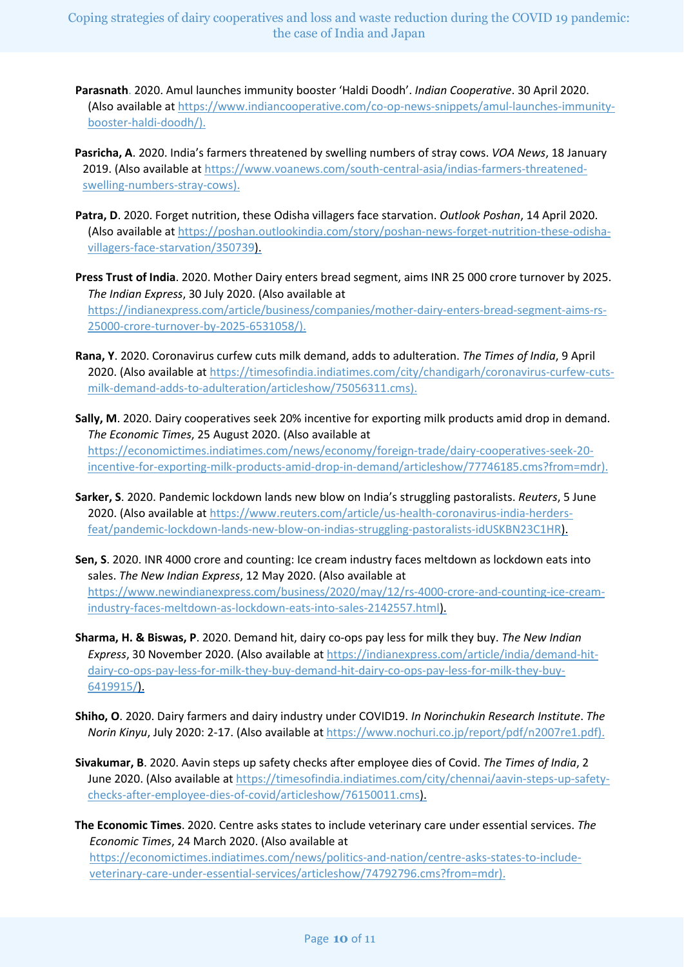Coping strategies of dairy cooperatives and loss and waste reduction during the COVID 19 pandemic: the case of India and Japan

**Parasnath**. 2020. Amul launches immunity booster 'Haldi Doodh'. *Indian Cooperative*. 30 April 2020. (Also available at [https://www.indiancooperative.com/co-op-news-snippets/amul-launches-immunity](https://www.indiancooperative.com/co-op-news-snippets/amul-launches-immunity-booster-haldi-doodh/)[booster-haldi-doodh/\)](https://www.indiancooperative.com/co-op-news-snippets/amul-launches-immunity-booster-haldi-doodh/).

**Pasricha, A**. 2020. India's farmers threatened by swelling numbers of stray cows. *VOA News*, 18 January 2019. (Also available at [https://www.voanews.com/south-central-asia/indias-farmers-threatened](https://www.voanews.com/south-central-asia/indias-farmers-threatened-swelling-numbers-stray-cows)[swelling-numbers-stray-cows\)](https://www.voanews.com/south-central-asia/indias-farmers-threatened-swelling-numbers-stray-cows).

- **Patra, D**. 2020. Forget nutrition, these Odisha villagers face starvation. *Outlook Poshan*, 14 April 2020. (Also available at [https://poshan.outlookindia.com/story/poshan-news-forget-nutrition-these-odisha](https://poshan.outlookindia.com/story/poshan-news-forget-nutrition-these-odisha-villagers-face-starvation/350739)[villagers-face-starvation/350739\)](https://poshan.outlookindia.com/story/poshan-news-forget-nutrition-these-odisha-villagers-face-starvation/350739).
- **Press Trust of India**. 2020. Mother Dairy enters bread segment, aims INR 25 000 crore turnover by 2025. *The Indian Express*, 30 July 2020. (Also available at [https://indianexpress.com/article/business/companies/mother-dairy-enters-bread-segment-aims-rs-](https://indianexpress.com/article/business/companies/mother-dairy-enters-bread-segment-aims-rs-25000-crore-turnover-by-2025-6531058/)[25000-crore-turnover-by-2025-6531058/\)](https://indianexpress.com/article/business/companies/mother-dairy-enters-bread-segment-aims-rs-25000-crore-turnover-by-2025-6531058/).
- **Rana, Y**. 2020. Coronavirus curfew cuts milk demand, adds to adulteration. *The Times of India*, 9 April 2020. (Also available a[t https://timesofindia.indiatimes.com/city/chandigarh/coronavirus-curfew-cuts](https://timesofindia.indiatimes.com/city/chandigarh/coronavirus-curfew-cuts-milk-demand-adds-to-adulteration/articleshow/75056311.cms)[milk-demand-adds-to-adulteration/articleshow/75056311.cms\)](https://timesofindia.indiatimes.com/city/chandigarh/coronavirus-curfew-cuts-milk-demand-adds-to-adulteration/articleshow/75056311.cms).
- **Sally, M**. 2020. Dairy cooperatives seek 20% incentive for exporting milk products amid drop in demand. *The Economic Times*, 25 August 2020. (Also available at [https://economictimes.indiatimes.com/news/economy/foreign-trade/dairy-cooperatives-seek-20](https://economictimes.indiatimes.com/news/economy/foreign-trade/dairy-cooperatives-seek-20-incentive-for-exporting-milk-products-amid-drop-in-demand/articleshow/77746185.cms?from=mdr) [incentive-for-exporting-milk-products-amid-drop-in-demand/articleshow/77746185.cms?from=mdr\)](https://economictimes.indiatimes.com/news/economy/foreign-trade/dairy-cooperatives-seek-20-incentive-for-exporting-milk-products-amid-drop-in-demand/articleshow/77746185.cms?from=mdr).
- **Sarker, S**. 2020. Pandemic lockdown lands new blow on India's struggling pastoralists. *Reuters*, 5 June 2020. (Also available a[t https://www.reuters.com/article/us-health-coronavirus-india-herders](https://www.reuters.com/article/us-health-coronavirus-india-herders-feat/pandemic-lockdown-lands-new-blow-on-indias-struggling-pastoralists-idUSKBN23C1HR)[feat/pandemic-lockdown-lands-new-blow-on-indias-struggling-pastoralists-idUSKBN23C1HR\)](https://www.reuters.com/article/us-health-coronavirus-india-herders-feat/pandemic-lockdown-lands-new-blow-on-indias-struggling-pastoralists-idUSKBN23C1HR).
- **Sen, S**. 2020. INR 4000 crore and counting: Ice cream industry faces meltdown as lockdown eats into sales. *The New Indian Express*, 12 May 2020. (Also available at [https://www.newindianexpress.com/business/2020/may/12/rs-4000-crore-and-counting-ice-cream](https://www.newindianexpress.com/business/2020/may/12/rs-4000-crore-and-counting-ice-cream-industry-faces-meltdown-as-lockdown-eats-into-sales-2142557.html)[industry-faces-meltdown-as-lockdown-eats-into-sales-2142557.html\)](https://www.newindianexpress.com/business/2020/may/12/rs-4000-crore-and-counting-ice-cream-industry-faces-meltdown-as-lockdown-eats-into-sales-2142557.html).
- **Sharma, H. & Biswas, P**. 2020. Demand hit, dairy co-ops pay less for milk they buy. *The New Indian Express*, 30 November 2020. (Also available a[t https://indianexpress.com/article/india/demand-hit](https://indianexpress.com/article/india/demand-hit-dairy-co-ops-pay-less-for-milk-they-buy-demand-hit-dairy-co-ops-pay-less-for-milk-they-buy-6419915/)[dairy-co-ops-pay-less-for-milk-they-buy-demand-hit-dairy-co-ops-pay-less-for-milk-they-buy-](https://indianexpress.com/article/india/demand-hit-dairy-co-ops-pay-less-for-milk-they-buy-demand-hit-dairy-co-ops-pay-less-for-milk-they-buy-6419915/)[6419915/\)](https://indianexpress.com/article/india/demand-hit-dairy-co-ops-pay-less-for-milk-they-buy-demand-hit-dairy-co-ops-pay-less-for-milk-they-buy-6419915/).
- **Shiho, O**. 2020. Dairy farmers and dairy industry under COVID19. *In Norinchukin Research Institute*. *The Norin Kinyu*, July 2020: 2-17. (Also available at [https://www.nochuri.co.jp/report/pdf/n2007re1.pdf\)](https://www.nochuri.co.jp/report/pdf/n2007re1.pdf).
- **Sivakumar, B**. 2020. Aavin steps up safety checks after employee dies of Covid. *The Times of India*, 2 June 2020. (Also available at [https://timesofindia.indiatimes.com/city/chennai/aavin-steps-up-safety](https://timesofindia.indiatimes.com/city/chennai/aavin-steps-up-safety-checks-after-employee-dies-of-covid/articleshow/76150011.cms)[checks-after-employee-dies-of-covid/articleshow/76150011.cms\)](https://timesofindia.indiatimes.com/city/chennai/aavin-steps-up-safety-checks-after-employee-dies-of-covid/articleshow/76150011.cms).
- **The Economic Times**. 2020. Centre asks states to include veterinary care under essential services. *The Economic Times*, 24 March 2020. (Also available at [https://economictimes.indiatimes.com/news/politics-and-nation/centre-asks-states-to-include](https://economictimes.indiatimes.com/news/politics-and-nation/centre-asks-states-to-include-veterinary-care-under-essential-services/articleshow/74792796.cms?from=mdr)[veterinary-care-under-essential-services/articleshow/74792796.cms?from=mdr\)](https://economictimes.indiatimes.com/news/politics-and-nation/centre-asks-states-to-include-veterinary-care-under-essential-services/articleshow/74792796.cms?from=mdr).